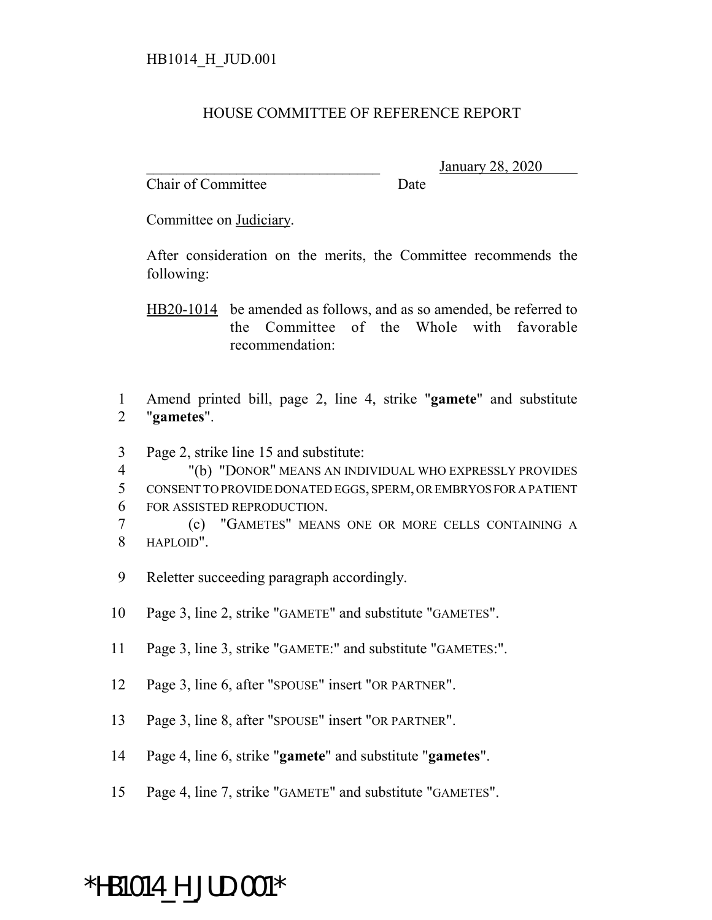## HOUSE COMMITTEE OF REFERENCE REPORT

Chair of Committee Date

\_\_\_\_\_\_\_\_\_\_\_\_\_\_\_\_\_\_\_\_\_\_\_\_\_\_\_\_\_\_\_ January 28, 2020

Committee on Judiciary.

After consideration on the merits, the Committee recommends the following:

HB20-1014 be amended as follows, and as so amended, be referred to the Committee of the Whole with favorable recommendation:

1 Amend printed bill, page 2, line 4, strike "**gamete**" and substitute 2 "**gametes**".

3 Page 2, strike line 15 and substitute:

4 "(b) "DONOR" MEANS AN INDIVIDUAL WHO EXPRESSLY PROVIDES 5 CONSENT TO PROVIDE DONATED EGGS, SPERM, OR EMBRYOS FOR A PATIENT 6 FOR ASSISTED REPRODUCTION.

- 7 (c) "GAMETES" MEANS ONE OR MORE CELLS CONTAINING A 8 HAPLOID".
- 9 Reletter succeeding paragraph accordingly.
- 10 Page 3, line 2, strike "GAMETE" and substitute "GAMETES".
- 11 Page 3, line 3, strike "GAMETE:" and substitute "GAMETES:".
- 12 Page 3, line 6, after "SPOUSE" insert "OR PARTNER".
- 13 Page 3, line 8, after "SPOUSE" insert "OR PARTNER".
- 14 Page 4, line 6, strike "**gamete**" and substitute "**gametes**".
- 15 Page 4, line 7, strike "GAMETE" and substitute "GAMETES".

## \*HB1014\_H\_JUD.001\*